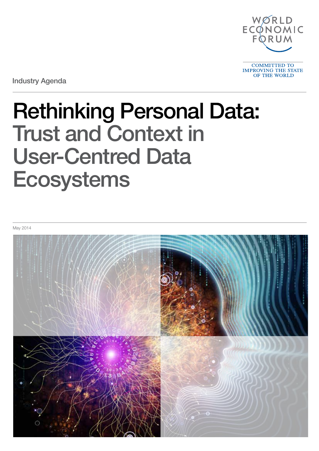

OF THE WORLD

Industry Agenda

### Rethinking Personal Data: Trust and Context in User-Centred Data **Ecosystems**

May 2014

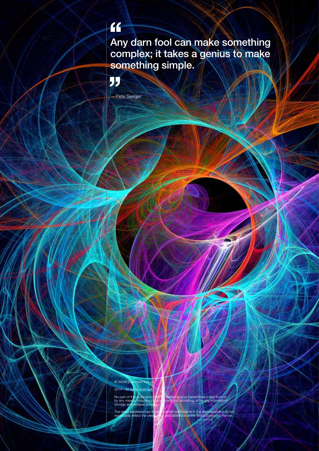Any darn fool can make something complex; it takes a genius to make something simple. ''



**-Pete Seeger** 

© World Economic Forum 2014 - All rights reserved.

No part of this publication<br>by any means, including p<br>storage and retrieval syste

ii Rethinking Personal Data: Trust and Context in User-Centred Data Ecosystems

No part of this publication may be reproduced or transmitted in any form or by any means, including photocopying and recording, or by any information

The views expressed are those of certain participants in the discussion and do not<br>necessarily reflect the views of all participants or of the World Economic Forum.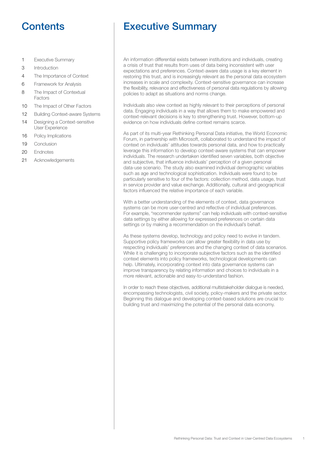### **Contents**

- 1 Executive Summary
- 3 Introduction
- 4 The Importance of Context
- 6 Framework for Analysis
- 8 The Impact of Contextual Factors
- 10 The Impact of Other Factors
- 12 Building Context-aware Systems
- 14 Designing a Context-sensitive User Experience
- 16 Policy Implications
- 19 Conclusion
- 20 Endnotes
- 21 Acknowledgements

### Executive Summary

An information differential exists between institutions and individuals, creating a crisis of trust that results from uses of data being inconsistent with user expectations and preferences. Context-aware data usage is a key element in restoring this trust, and is increasingly relevant as the personal data ecosystem increases in scale and complexity. Context-sensitive governance can increase the flexibility, relevance and effectiveness of personal data regulations by allowing policies to adapt as situations and norms change.

Individuals also view context as highly relevant to their perceptions of personal data. Engaging individuals in a way that allows them to make empowered and context-relevant decisions is key to strengthening trust. However, bottom-up evidence on how individuals define context remains scarce.

As part of its multi-year Rethinking Personal Data initiative, the World Economic Forum, in partnership with Microsoft, collaborated to understand the impact of context on individuals' attitudes towards personal data, and how to practically leverage this information to develop context-aware systems that can empower individuals. The research undertaken identified seven variables, both objective and subjective, that influence individuals' perception of a given personal data-use scenario. The study also examined individual demographic variables such as age and technological sophistication. Individuals were found to be particularly sensitive to four of the factors: collection method, data usage, trust in service provider and value exchange. Additionally, cultural and geographical factors influenced the relative importance of each variable.

With a better understanding of the elements of context, data governance systems can be more user-centred and reflective of individual preferences. For example, "recommender systems" can help individuals with context-sensitive data settings by either allowing for expressed preferences on certain data settings or by making a recommendation on the individual's behalf.

As these systems develop, technology and policy need to evolve in tandem. Supportive policy frameworks can allow greater flexibility in data use by respecting individuals' preferences and the changing context of data scenarios. While it is challenging to incorporate subjective factors such as the identified context elements into policy frameworks, technological developments can help. Ultimately, incorporating context into data governance systems can improve transparency by relating information and choices to individuals in a more relevant, actionable and easy-to-understand fashion.

In order to reach these objectives, additional multistakeholder dialogue is needed, encompassing technologists, civil society, policy-makers and the private sector. Beginning this dialogue and developing context-based solutions are crucial to building trust and maximizing the potential of the personal data economy.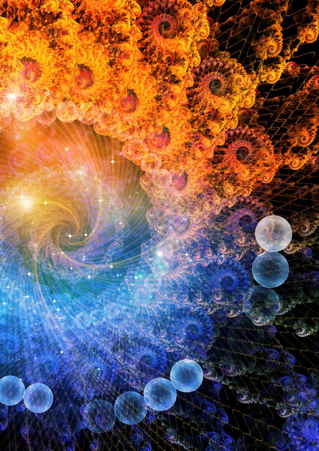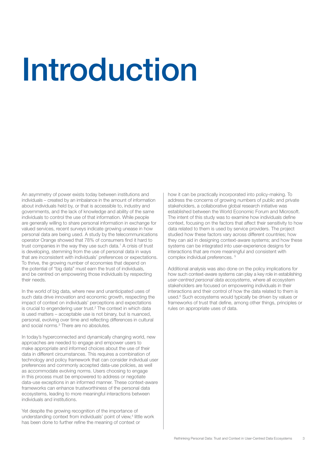## Introduction

An asymmetry of power exists today between institutions and individuals – created by an imbalance in the amount of information about individuals held by, or that is accessible to, industry and governments, and the lack of knowledge and ability of the same individuals to control the use of that information. While people are generally willing to share personal information in exchange for valued services, recent surveys indicate growing unease in how personal data are being used. A study by the telecommunications operator Orange showed that 78% of consumers find it hard to trust companies in the way they use such data.<sup>1</sup> A crisis of trust is developing, stemming from the use of personal data in ways that are inconsistent with individuals' preferences or expectations. To thrive, the growing number of economies that depend on the potential of "big data" must earn the trust of individuals, and be centred on empowering those individuals by respecting their needs.

In the world of big data, where new and unanticipated uses of such data drive innovation and economic growth, respecting the impact of context on individuals' perceptions and expectations is crucial to engendering user trust.<sup>2</sup> The context in which data is used matters – acceptable use is not binary, but is nuanced, personal, evolving over time and reflecting differences in cultural and social norms.<sup>3</sup> There are no absolutes.

In today's hyperconnected and dynamically changing world, new approaches are needed to engage and empower users to make appropriate and informed choices about the use of their data in different circumstances. This requires a combination of technology and policy framework that can consider individual user preferences and commonly accepted data-use policies, as well as accommodate evolving norms. Users choosing to engage in this process must be empowered to address or negotiate data-use exceptions in an informed manner. These context-aware frameworks can enhance trustworthiness of the personal data ecosystems, leading to more meaningful interactions between individuals and institutions.

Yet despite the growing recognition of the importance of understanding context from individuals' point of view,<sup>4</sup> little work has been done to further refine the meaning of context or

how it can be practically incorporated into policy-making. To address the concerns of growing numbers of public and private stakeholders, a collaborative global research initiative was established between the World Economic Forum and Microsoft. The intent of this study was to examine how individuals define context, focusing on the factors that affect their sensitivity to how data related to them is used by service providers. The project studied how these factors vary across different countries; how they can aid in designing context-aware systems; and how these systems can be integrated into user-experience designs for interactions that are more meaningful and consistent with complex individual preferences. 5

Additional analysis was also done on the policy implications for how such context-aware systems can play a key role in establishing *user-centred personal data ecosystems*, where all ecosystem stakeholders are focused on empowering individuals in their interactions and their control of how the data related to them is used.<sup>6</sup> Such ecosystems would typically be driven by values or frameworks of trust that define, among other things, principles or rules on appropriate uses of data.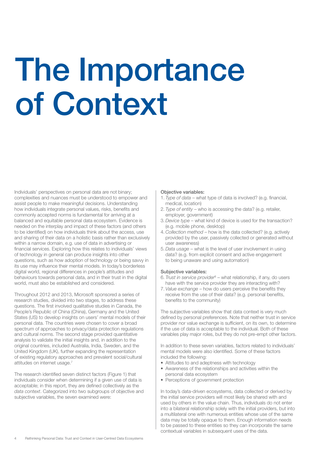## The Importance of Context

Individuals' perspectives on personal data are not binary; complexities and nuances must be understood to empower and assist people to make meaningful decisions. Understanding how individuals integrate personal values, risks, benefits and commonly accepted norms is fundamental for arriving at a balanced and equitable personal data ecosystem. Evidence is needed on the interplay and impact of these factors (and others to be identified) on how individuals think about the access, use and sharing of their data on a holistic basis rather than exclusively within a narrow domain, e.g. use of data in advertising or financial services. Exploring how this relates to individuals' views of technology in general can produce insights into other questions, such as how adoption of technology or being savvy in its use may influence their mental models. In today's borderless digital world, regional differences in people's attitudes and behaviours towards personal data, and in their trust in the digital world, must also be established and considered.

Throughout 2012 and 2013, Microsoft sponsored a series of research studies, divided into two stages, to address these questions. The first involved qualitative studies in Canada, the People's Republic of China (China), Germany and the United States (US) to develop insights on users' mental models of their personal data. The countries were chosen to cover a broad spectrum of approaches to privacy/data protection regulations and cultural norms. The second stage provided quantitative analysis to validate the initial insights and, in addition to the original countries, included Australia, India, Sweden, and the United Kingdom (UK), further expanding the representation of existing regulatory approaches and prevalent social/cultural attitudes on internet usage.7

The research identified seven distinct factors (Figure 1) that individuals consider when determining if a given use of data is acceptable; in this report, they are defined collectively as the *data context*. Categorized into two subgroups of objective and subjective variables, the seven examined were:

#### Objective variables:

- 1. *Type of data*  what type of data is involved? (e.g. financial, medical, location)
- 2. *Type of entity* who is accessing the data? (e.g. retailer, employer, government)
- 3.*Device type* what kind of device is used for the transaction? (e.g. mobile phone, desktop)
- 4. *Collection method*  how is the data collected? (e.g. actively provided by the user, passively collected or generated without user awareness)
- 5.*Data usage* what is the level of user involvement in using data? (e.g. from explicit consent and active engagement to being unaware and using automation)

#### Subjective variables:

- 6. *Trust in service provider8* what relationship, if any, do users have with the service provider they are interacting with?
- 7. *Value exchange* how do users perceive the benefits they receive from the use of their data? (e.g. personal benefits, benefits to the community)

The subjective variables show that data context is very much defined by personal preferences. Note that neither trust in service provider nor value exchange is sufficient, on its own, to determine if the use of data is acceptable to the individual. Both of these variables play major roles, but they do not pre-empt other factors.

In addition to these seven variables, factors related to individuals' mental models were also identified. Some of these factors included the following:

- Attitudes to and adeptness with technology
- Awareness of the relationships and activities within the personal data ecosystem
- Perceptions of government protection

In today's data-driven ecosystems, data collected or derived by the initial service providers will most likely be shared with and used by others in the value chain. Thus, individuals do not enter into a bilateral relationship solely with the initial providers, but into a multilateral one with numerous entities whose use of the same data may be totally opaque to them. Enough information needs to be passed to these entities so they can incorporate the same contextual variables in subsequent uses of the data.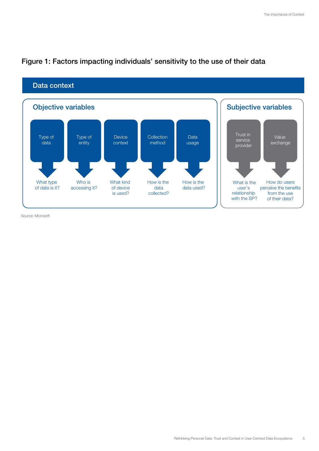

#### Figure 1: Factors impacting individuals' sensitivity to the use of their data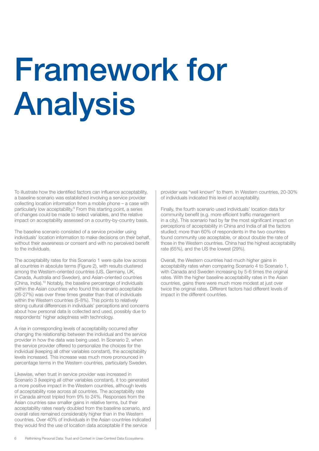## Framework for Analysis

To illustrate how the identified factors can influence acceptability, a baseline scenario was established involving a service provider collecting location information from a mobile phone – a case with particularly low acceptability.<sup>9</sup> From this starting point, a series of changes could be made to select variables, and the relative impact on acceptability assessed on a country-by-country basis.

The baseline scenario consisted of a service provider using individuals' location information to make decisions on their behalf, without their awareness or consent and with no perceived benefit to the individuals.

The acceptability rates for this Scenario 1 were quite low across all countries in absolute terms (Figure 2), with results clustered among the Western-oriented countries (US, Germany, UK, Canada, Australia and Sweden), and Asian-oriented countries (China, India).10 Notably, the baseline percentage of individuals within the Asian countries who found this scenario acceptable (26-27%) was over three times greater than that of individuals within the Western countries (5-8%). This points to relatively strong cultural differences in individuals' perceptions and concerns about how personal data is collected and used, possibly due to respondents' higher adeptness with technology.

A rise in corresponding levels of acceptability occurred after changing the relationship between the individual and the service provider in how the data was being used. In Scenario 2, when the service provider offered to personalize the choices for the individual (keeping all other variables constant), the acceptability levels increased. This increase was much more pronounced in percentage terms in the Western countries, particularly Sweden.

Likewise, when trust in service provider was increased in Scenario 3 (keeping all other variables constant), it too generated a more positive impact in the Western countries, although levels of acceptability rose across all countries. The acceptability rate in Canada almost tripled from 9% to 24%. Responses from the Asian countries saw smaller gains in relative terms, but their acceptability rates nearly doubled from the baseline scenario, and overall rates remained considerably higher than in the Western countries. Over 40% of individuals in the Asian countries indicated they would find the use of location data acceptable if the service

provider was "well known" to them. In Western countries, 20-30% of individuals indicated this level of acceptability.

Finally, the fourth scenario used individuals' location data for community benefit (e.g. more efficient traffic management in a city). This scenario had by far the most significant impact on perceptions of acceptability in China and India of all the factors studied; more than 60% of respondents in the two countries found community use acceptable, or about double the rate of those in the Western countries. China had the highest acceptability rate (65%), and the US the lowest (29%).

Overall, the Western countries had much higher gains in acceptability rates when comparing Scenario 4 to Scenario 1, with Canada and Sweden increasing by 5-6 times the original rates. With the higher baseline acceptability rates in the Asian countries, gains there were much more modest at just over twice the original rates. Different factors had different levels of impact in the different countries.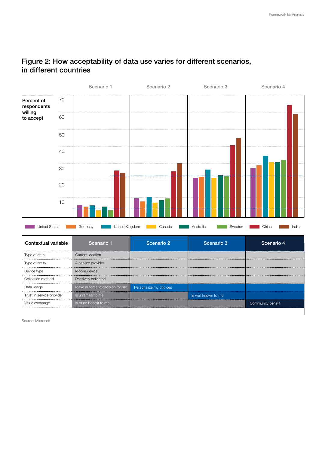

#### Figure 2: How acceptability of data use varies for different scenarios, in different countries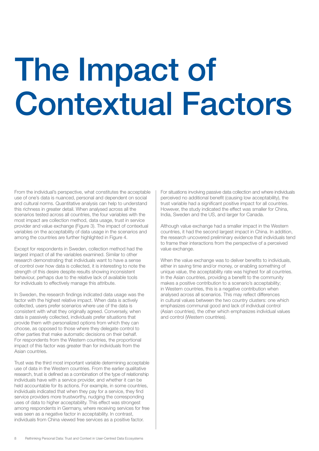## The Impact of Contextual Factors

From the individual's perspective, what constitutes the acceptable use of one's data is nuanced, personal and dependent on social and cultural norms. Quantitative analysis can help to understand this richness in greater detail. When analysed across all the scenarios tested across all countries, the four variables with the most impact are collection method, data usage, trust in service provider and value exchange (Figure 3). The impact of contextual variables on the acceptability of data usage in the scenarios and among the countries are further highlighted in Figure 4.

Except for respondents in Sweden, collection method had the largest impact of all the variables examined. Similar to other research demonstrating that individuals want to have a sense of control over how data is collected, it is interesting to note the strength of this desire despite results showing inconsistent behaviour, perhaps due to the relative lack of available tools for individuals to effectively manage this attribute.

In Sweden, the research findings indicated data usage was the factor with the highest relative impact. When data is actively collected, users prefer scenarios where use of the data is consistent with what they originally agreed. Conversely, when data is passively collected, individuals prefer situations that provide them with personalized options from which they can choose, as opposed to those where they delegate control to other parties that make automatic decisions on their behalf. For respondents from the Western countries, the proportional impact of this factor was greater than for individuals from the Asian countries.

Trust was the third most important variable determining acceptable use of data in the Western countries. From the earlier qualitative research, trust is defined as a combination of the type of relationship individuals have with a service provider, and whether it can be held accountable for its actions. For example, in some countries, individuals indicated that when they pay for a service, they find service providers more trustworthy, nudging the corresponding uses of data to higher acceptability. This effect was strongest among respondents in Germany, where receiving services for free was seen as a negative factor in acceptability. In contrast, individuals from China viewed free services as a positive factor.

For situations involving passive data collection and where individuals perceived no additional benefit (causing low acceptability), the trust variable had a significant positive impact for all countries. However, the study indicated the effect was smaller for China, India, Sweden and the US, and larger for Canada.

Although value exchange had a smaller impact in the Western countries, it had the second largest impact in China. In addition, the research uncovered preliminary evidence that individuals tend to frame their interactions from the perspective of a perceived value exchange.

When the value exchange was to deliver benefits to individuals, either in saving time and/or money, or enabling something of unique value, the acceptability rate was highest for all countries. In the Asian countries, providing a benefit to the community makes a positive contribution to a scenario's acceptability; in Western countries, this is a negative contribution when analysed across all scenarios. This may reflect differences in cultural values between the two country clusters: one which emphasizes communal good and lack of individual control (Asian countries), the other which emphasizes individual values and control (Western countries).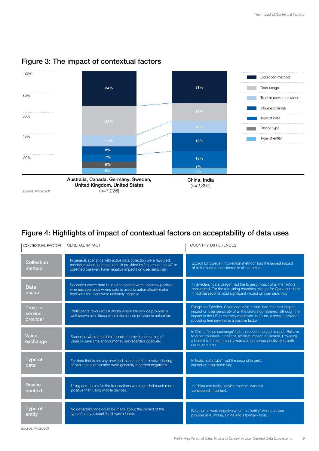

#### Figure 3: The impact of contextual factors

### Figure 4: Highlights of impact of contextual factors on acceptability of data uses

| CONTEXTUAL FACTOR                      | <b>GENERAL IMPACT</b>                                                                                                                                                                                   | <b>COUNTRY DIFFERENCES</b>                                                                                                                                                                                                                                            |
|----------------------------------------|---------------------------------------------------------------------------------------------------------------------------------------------------------------------------------------------------------|-----------------------------------------------------------------------------------------------------------------------------------------------------------------------------------------------------------------------------------------------------------------------|
| Collection<br>method                   | In general, scenarios with active data collection were favoured;<br>scenarios where personal data is provided by "a person I know" or<br>collected passively have negative impacts on user sensitivity. | Except for Sweden, "collection method" had the largest impact<br>of all the factors considered in all countries.                                                                                                                                                      |
| Data<br>usage                          | Scenarios where data is used as agreed were uniformly positive;<br>whereas scenarios where data is used to automatically make<br>decisions for users were uniformly negative.                           | In Sweden, "data usage" had the largest impact of all the factors<br>considered. For the remaining countries, except for China and India,<br>it had the second most significant impact on user sensitivity.                                                           |
| <b>Trust in</b><br>service<br>provider | Participants favoured situations where the service provider is<br>well-known over those where the service provider is unfamiliar.                                                                       | Except for Sweden, China and India, "trust" had the third largest<br>impact on user sensitivity of all the factors considered, although the<br>impact in the US is relatively moderate. In China, a service provider<br>providing free services is a positive factor. |
| Value<br>exchange                      | Scenarios where the data is used to provide something of<br>value or save time and/or money are regarded positively.                                                                                    | In China, "value exchange" had the second largest impact. Relative<br>to other countries, it has the smallest impact in Canada. Providing<br>a benefit to the community was also perceived positively in both<br>China and India.                                     |
| Type of<br>data                        | For data that is actively provided, scenarios that involve sharing<br>of bank account number were generally regarded negatively.                                                                        | In India, "data type" had the second largest<br>impact on user sensitivity.                                                                                                                                                                                           |
| <b>Device</b><br>context               | Using computers for the transactions was regarded much more<br>positive than using mobile devices.                                                                                                      | In China and India, "device context" was not<br>considered important.                                                                                                                                                                                                 |
| Type of<br>entity                      | No generalizations could be made about the impact of the<br>type of entity, except thatit was a factor.                                                                                                 | Responses were negative when the "entity" was a service<br>provider in Australia, China and especially India.                                                                                                                                                         |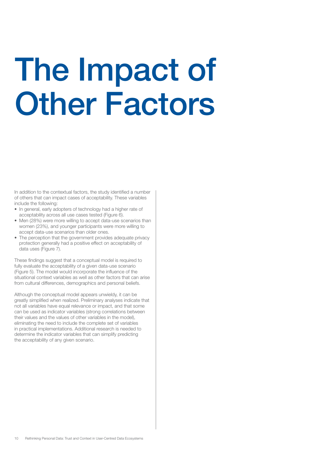### The Impact of Other Factors

In addition to the contextual factors, the study identified a number of others that can impact cases of acceptability. These variables include the following:

- In general, early adopters of technology had a higher rate of acceptability across all use cases tested (Figure 6).
- Men (28%) were more willing to accept data-use scenarios than women (23%), and younger participants were more willing to accept data-use scenarios than older ones.
- The perception that the government provides adequate privacy protection generally had a positive effect on acceptability of data uses (Figure 7).

These findings suggest that a conceptual model is required to fully evaluate the acceptability of a given data-use scenario (Figure 5). The model would incorporate the influence of the situational context variables as well as other factors that can arise from cultural differences, demographics and personal beliefs.

Although the conceptual model appears unwieldy, it can be greatly simplified when realized. Preliminary analyses indicate that not all variables have equal relevance or impact, and that some can be used as indicator variables (strong correlations between their values and the values of other variables in the model), eliminating the need to include the complete set of variables in practical implementations. Additional research is needed to determine the indicator variables that can simplify predicting the acceptability of any given scenario.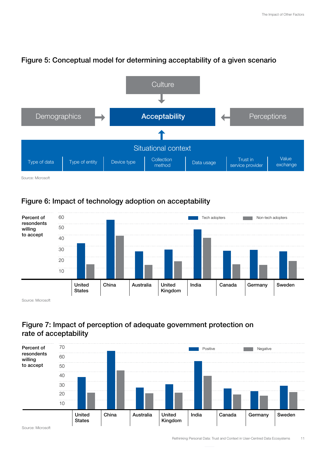

#### Figure 5: Conceptual model for determining acceptability of a given scenario

Source: Microsoft

### Figure 6: Impact of technology adoption on acceptability



Figure 7: Impact of perception of adequate government protection on rate of acceptability

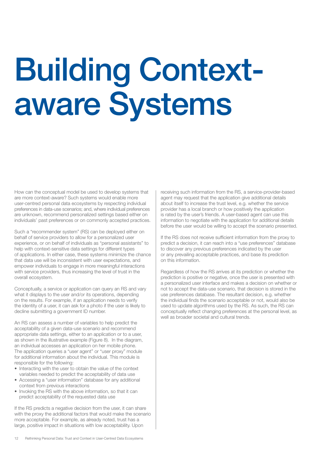## Building Contextaware Systems

How can the conceptual model be used to develop systems that are more context-aware? Such systems would enable more user-centred personal data ecosystems by respecting individual preferences in data-use scenarios; and, where individual preferences are unknown, recommend personalized settings based either on individuals' past preferences or on commonly accepted practices.

Such a "recommender system" (RS) can be deployed either on behalf of service providers to allow for a personalized user experience, or on behalf of individuals as "personal assistants" to help with context-sensitive data settings for different types of applications. In either case, these systems minimize the chance that data use will be inconsistent with user expectations, and empower individuals to engage in more meaningful interactions with service providers, thus increasing the level of trust in the overall ecosystem.

Conceptually, a service or application can query an RS and vary what it displays to the user and/or its operations, depending on the results. For example, if an application needs to verify the identity of a user, it can ask for a photo if the user is likely to decline submitting a government ID number.

An RS can assess a number of variables to help predict the acceptability of a given data-use scenario and recommend appropriate data settings, either to an application or to a user, as shown in the illustrative example (Figure 8). In the diagram, an individual accesses an application on her mobile phone. The application queries a "user agent" or "user proxy" module for additional information about the individual. This module is responsible for the following:

- Interacting with the user to obtain the value of the context variables needed to predict the acceptability of data use
- Accessing a "user information" database for any additional context from previous interactions
- Invoking the RS with the above information, so that it can predict acceptability of the requested data use

If the RS predicts a negative decision from the user, it can share with the proxy the additional factors that would make the scenario more acceptable. For example, as already noted, trust has a large, positive impact in situations with low acceptability. Upon

receiving such information from the RS, a service-provider-based agent may request that the application give additional details about itself to increase the trust level, e.g. whether the service provider has a local branch or how positively the application is rated by the user's friends. A user-based agent can use this information to negotiate with the application for additional details before the user would be willing to accept the scenario presented.

If the RS does not receive sufficient information from the proxy to predict a decision, it can reach into a "use preferences" database to discover any previous preferences indicated by the user or any prevailing acceptable practices, and base its prediction on this information.

Regardless of how the RS arrives at its prediction or whether the prediction is positive or negative, once the user is presented with a personalized user interface and makes a decision on whether or not to accept the data-use scenario, that decision is stored in the use preferences database. The resultant decision, e.g. whether the individual finds the scenario acceptable or not, would also be used to update algorithms used by the RS. As such, the RS can conceptually reflect changing preferences at the personal level, as well as broader societal and cultural trends.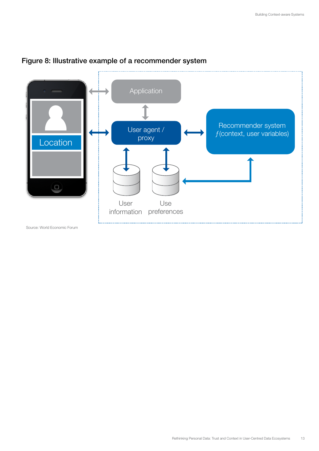

#### Figure 8: Illustrative example of a recommender system

Source: World Economic Forum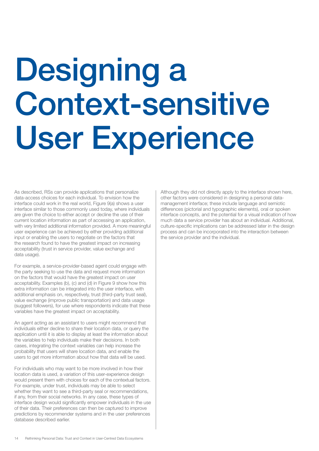# Designing a Context-sensitive User Experience

As described, RSs can provide applications that personalize data-access choices for each individual. To envision how the interface could work in the real world, Figure 9(a) shows a user interface similar to those commonly used today, where individuals are given the choice to either accept or decline the use of their current location information as part of accessing an application, with very limited additional information provided. A more meaningful user experience can be achieved by either providing additional input or enabling the users to negotiate on the factors that the research found to have the greatest impact on increasing acceptability (trust in service provider, value exchange and data usage).

For example, a service-provider-based agent could engage with the party seeking to use the data and request more information on the factors that would have the greatest impact on user acceptability. Examples (b), (c) and (d) in Figure 9 show how this extra information can be integrated into the user interface, with additional emphasis on, respectively, trust (third-party trust seal), value exchange (improve public transportation) and data usage (suggest followers), for use where respondents indicate that these variables have the greatest impact on acceptability.

An agent acting as an assistant to users might recommend that individuals either decline to share their location data, or query the application until it is able to display at least the information about the variables to help individuals make their decisions. In both cases, integrating the context variables can help increase the probability that users will share location data, and enable the users to get more information about how that data will be used.

For individuals who may want to be more involved in how their location data is used, a variation of this user-experience design would present them with choices for each of the contextual factors. For example, under trust, individuals may be able to select whether they want to see a third-party seal or recommendations, if any, from their social networks. In any case, these types of interface design would significantly empower individuals in the use of their data. Their preferences can then be captured to improve predictions by recommender systems and in the user preferences database described earlier.

Although they did not directly apply to the interface shown here, other factors were considered in designing a personal datamanagement interface; these include language and semiotic differences (pictorial and typographic elements), oral or spoken interface concepts, and the potential for a visual indication of how much data a service provider has about an individual. Additional, culture-specific implications can be addressed later in the design process and can be incorporated into the interaction between the service provider and the individual.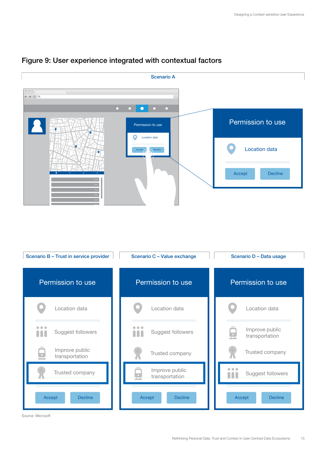

#### Figure 9: User experience integrated with contextual factors

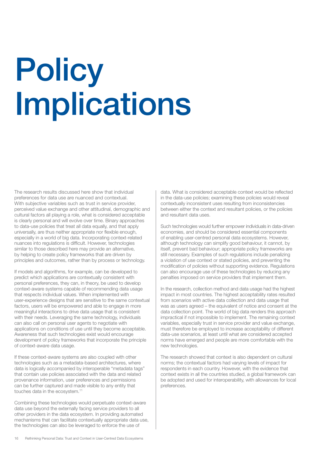# **Policy** Implications

The research results discussed here show that individual preferences for data use are nuanced and contextual. With subjective variables such as trust in service provider, perceived value exchange and other attitudinal, demographic and cultural factors all playing a role, what is considered acceptable is clearly personal and will evolve over time. Binary approaches to data-use policies that treat all data equally, and that apply universally, are thus neither appropriate nor flexible enough, especially in a world of big data. Incorporating context-related nuances into regulations is difficult. However, technologies similar to those described here may provide an alternative, by helping to create policy frameworks that are driven by principles and outcomes, rather than by process or technology.

If models and algorithms, for example, can be developed to predict which applications are contextually consistent with personal preferences, they can, in theory, be used to develop context-aware systems capable of recommending data usage that respects individual values. When implemented with user-experience designs that are sensitive to the same contextual factors, users will be empowered and able to engage in more meaningful interactions to drive data usage that is consistent with their needs. Leveraging the same technology, individuals can also call on personal user agents to negotiate with applications on conditions of use until they become acceptable. Awareness that such technologies exist would encourage development of policy frameworks that incorporate the principle of context-aware data usage.

If these context-aware systems are also coupled with other technologies such as a metadata-based architectures, where data is logically accompanied by interoperable "metadata tags" that contain use policies associated with the data and related provenance information, user preferences and permissions can be further captured and made visible to any entity that touches data in the ecosystem.11

Combining these technologies would perpetuate context-aware data use beyond the externally facing service providers to all other providers in the data ecosystem. In providing automated mechanisms that can facilitate contextually appropriate data use, the technologies can also be leveraged to enforce the use of

data. What is considered acceptable context would be reflected in the data-use policies; examining these policies would reveal contextually inconsistent uses resulting from inconsistencies between either the context and resultant policies, or the policies and resultant data uses.

Such technologies would further empower individuals in data-driven economies, and should be considered essential components of enabling user-centred personal data ecosystems. However, although technology can simplify good behaviour, it cannot, by itself, prevent bad behaviour; appropriate policy frameworks are still necessary. Examples of such regulations include penalizing a violation of use context or stated policies, and preventing the modification of policies without supporting evidence. Regulations can also encourage use of these technologies by reducing any penalties imposed on service providers that implement them.

In the research, collection method and data usage had the highest impact in most countries. The highest acceptability rates resulted from scenarios with active data collection and data usage that was as users agreed – the equivalent of notice and consent at the data collection point. The world of big data renders this approach impractical if not impossible to implement. The remaining context variables, especially trust in service provider and value exchange, must therefore be employed to increase acceptability of different data-use scenarios, at least until what are considered accepted norms have emerged and people are more comfortable with the new technologies.

The research showed that context is also dependent on cultural norms; the contextual factors had varying levels of impact for respondents in each country. However, with the evidence that context exists in all the countries studied, a global framework can be adopted and used for interoperability, with allowances for local preferences.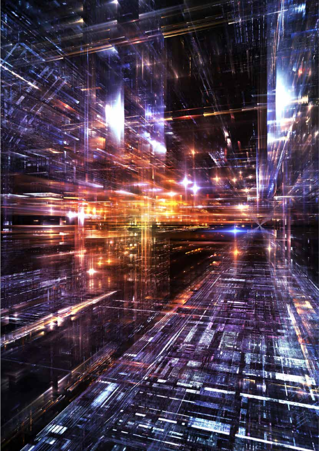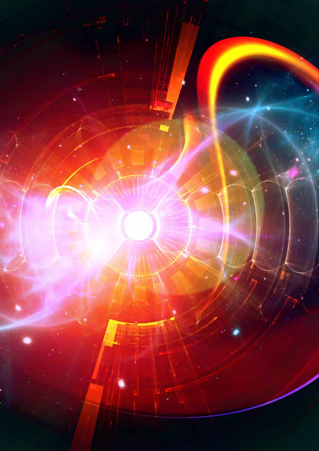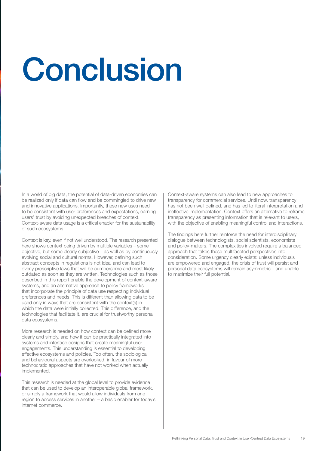# **Conclusion**

In a world of big data, the potential of data-driven economies can be realized only if data can flow and be commingled to drive new and innovative applications. Importantly, these new uses need to be consistent with user preferences and expectations, earning users' trust by avoiding unexpected breaches of context. Context-aware data usage is a critical enabler for the sustainability of such ecosystems.

Context is key, even if not well understood. The research presented here shows context being driven by multiple variables – some objective, but some clearly subjective – as well as by continuously evolving social and cultural norms. However, defining such abstract concepts in regulations is not ideal and can lead to overly prescriptive laws that will be cumbersome and most likely outdated as soon as they are written. Technologies such as those described in this report enable the development of context-aware systems, and an alternative approach to policy frameworks that incorporate the principle of data use respecting individual preferences and needs. This is different than allowing data to be used only in ways that are consistent with the context(s) in which the data were initially collected. This difference, and the technologies that facilitate it, are crucial for trustworthy personal data ecosystems.

More research is needed on how context can be defined more clearly and simply, and how it can be practically integrated into systems and interface designs that create meaningful user engagements. This understanding is essential to developing effective ecosystems and policies. Too often, the sociological and behavioural aspects are overlooked, in favour of more technocratic approaches that have not worked when actually implemented.

This research is needed at the global level to provide evidence that can be used to develop an interoperable global framework, or simply a framework that would allow individuals from one region to access services in another – a basic enabler for today's internet commerce.

Context-aware systems can also lead to new approaches to transparency for commercial services. Until now, transparency has not been well defined, and has led to literal interpretation and ineffective implementation. Context offers an alternative to reframe transparency as presenting information that is relevant to users, with the objective of enabling meaningful control and interactions.

The findings here further reinforce the need for interdisciplinary dialogue between technologists, social scientists, economists and policy-makers. The complexities involved require a balanced approach that takes these multifaceted perspectives into consideration. Some urgency clearly exists: unless individuals are empowered and engaged, the crisis of trust will persist and personal data ecosystems will remain asymmetric – and unable to maximize their full potential.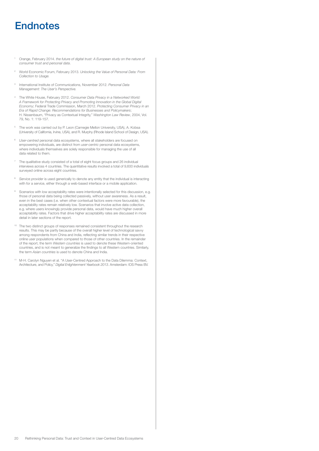### **Endnotes**

- 1 Orange, February 2014. *the future of digital trust: A European study on the nature of consumer trust and personal data*.
- World Economic Forum, February 2013. *Unlocking the Value of Personal Data: From Collection to Usage.*
- International Institute of Communications, November 2012. *Personal Data Management: The User's Perspective.*
- 4 The White House, February 2012. *Consumer Data Privacy in a Networked World: A Framework for Protecting Privacy and Promoting Innovation in the Global Digital Economy*; Federal Trade Commission, March 2012. *Protecting Consumer Privacy in an Era of Rapid Change: Recommendations for Businesses and Policymakers*; H. Nissenbaum, "Privacy as Contextual Integrity," *Washington Law Review*, 2004, Vol. 79, No. 1: 119-157.
- 5 The work was carried out by P. Leon (Carnegie Mellon University, USA), A. Kobsa (University of California, Irvine, USA), and R. Murphy (Rhode Island School of Design, USA).
- 6 *User-centred* personal data ecosystems, where all stakeholders are focused on empowering individuals, are distinct from *user-centric* personal data ecosystems, where individuals themselves are solely responsible for managing the use of all data related to them.
- The qualitative study consisted of a total of eight focus groups and 26 individual interviews across 4 countries. The quantitative results involved a total of 9,600 individuals surveyed online across eight countries.
- 8 *Service provider* is used generically to denote any entity that the individual is interacting with for a service, either through a web-based interface or a mobile application.
- 9 Scenarios with low acceptability rates were intentionally selected for this discussion, e.g. those of personal data being collected passively, without user awareness. As a result, even in the best cases (i.e. when other contextual factors were more favourable), the acceptability rates remain relatively low. Scenarios that involve active data collection, e.g. where users knowingly provide personal data, would have much higher overall acceptability rates. Factors that drive higher acceptability rates are discussed in more detail in later sections of the report.
- <sup>10</sup> The two distinct groups of responses remained consistent throughout the research results. This may be partly because of the overall higher level of technological savvy among respondents from China and India, reflecting similar trends in their respective online user populations when compared to those of other countries. In the remainder of the report, the term *Western countries* is used to denote these Western-oriented countries, and is not meant to generalize the findings to all Western countries. Similarly, the term *Asian countries* is used to denote China and India.
- 11 M-H. Carolyn Nguyen et al. "A User-Centred Approach to the Data Dilemma: Context, Architecture, and Policy," *Digital Enlightenment Yearbook 2013*. Amsterdam: IOS Press BV.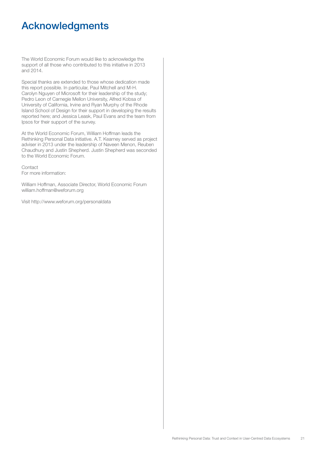### Acknowledgments

The World Economic Forum would like to acknowledge the support of all those who contributed to this initiative in 2013 and 2014.

Special thanks are extended to those whose dedication made this report possible. In particular, Paul Mitchell and M-H. Carolyn Nguyen of Microsoft for their leadership of the study; Pedro Leon of Carnegie Mellon University, Alfred Kobsa of University of California, Irvine and Ryan Murphy of the Rhode Island School of Design for their support in developing the results reported here; and Jessica Leask, Paul Evans and the team from Ipsos for their support of the survey.

At the World Economic Forum, William Hoffman leads the Rethinking Personal Data initiative. A.T. Kearney served as project adviser in 2013 under the leadership of Naveen Menon, Reuben Chaudhury and Justin Shepherd. Justin Shepherd was seconded to the World Economic Forum.

Contact For more information:

William Hoffman, Associate Director, World Economic Forum william.hoffman@weforum.org

Visit http://www.weforum.org/personaldata